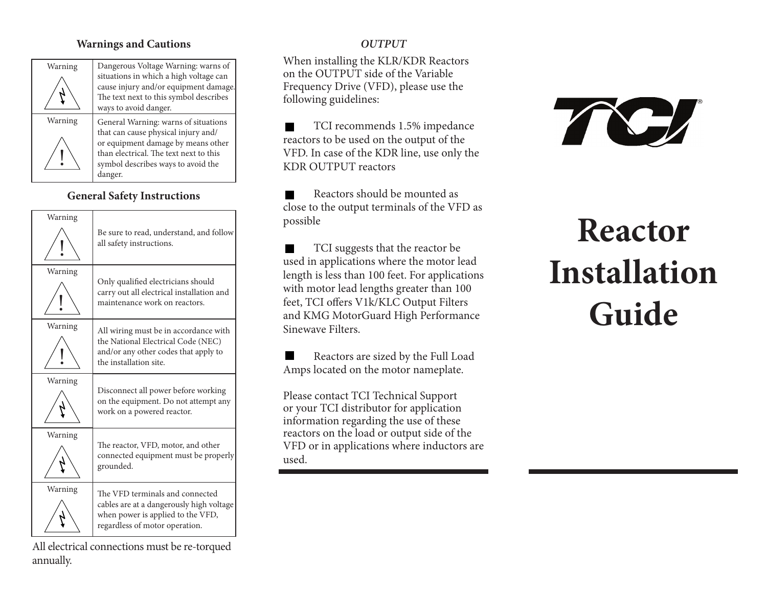## **Warnings and Cautions**

| Warning | Dangerous V                                                                |
|---------|----------------------------------------------------------------------------|
|         | situations in<br>cause injury a<br>The text next                           |
|         | ways to avoid                                                              |
| Warning | General War                                                                |
|         | that can caus<br>or equipment<br>than electrica<br>symbol descr<br>danger. |

oltage Warning: warns of which a high voltage can and/or equipment damage. to this symbol describes danger. ning: warns of situations e physical injury and/ damage by means other al. The text next to this ibes ways to avoid the

# **General Safety Instructions**



All electrical connections must be re-torqued annually.

# *OUTPUT*

When installing the KLR/KDR Reactors on the OUTPUT side of the Variable Frequency Drive (VFD), please use the following guidelines:

TCI recommends 1.5% impedance reactors to be used on the output of the VFD. In case of the KDR line, use only the KDR OUTPUT reactors

Reactors should be mounted as close to the output terminals of the VFD as possible

TCI suggests that the reactor be used in applications where the motor lead length is less than 100 feet. For applications with motor lead lengths greater than 100 feet, TCI offers V1k/KLC Output Filters and KMG MotorGuard High Performance Sinewave Filters.

Reactors are sized by the Full Load Amps located on the motor nameplate.

Please contact TCI Technical Support or your TCI distributor for application information regarding the use of these reactors on the load or output side of the VFD or in applications where inductors are used.



# **Reactor Installation Guide**